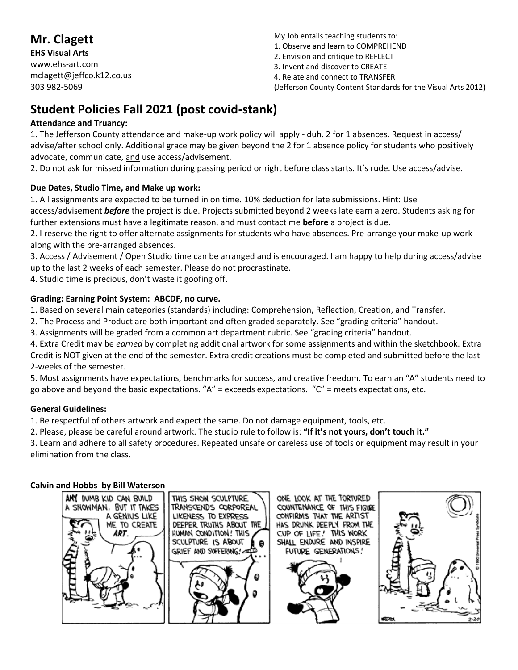# **Mr. Clagett**

**EHS Visual Arts** www.ehs-art.com mclagett@jeffco.k12.co.us 303 982-5069

My Job entails teaching students to:

- 1. Observe and learn to COMPREHEND
- 2. Envision and critique to REFLECT
- 3. Invent and discover to CREATE
- 4. Relate and connect to TRANSFER

(Jefferson County Content Standards for the Visual Arts 2012)

# **Student Policies Fall 2021 (post covid-stank)**

# **Attendance and Truancy:**

1. The Jefferson County attendance and make-up work policy will apply - duh. 2 for 1 absences. Request in access/ advise/after school only. Additional grace may be given beyond the 2 for 1 absence policy for students who positively advocate, communicate, and use access/advisement.

2. Do not ask for missed information during passing period or right before class starts. It's rude. Use access/advise.

# **Due Dates, Studio Time, and Make up work:**

1. All assignments are expected to be turned in on time. 10% deduction for late submissions. Hint: Use access/advisement *before* the project is due. Projects submitted beyond 2 weeks late earn a zero. Students asking for further extensions must have a legitimate reason, and must contact me **before** a project is due.

2. I reserve the right to offer alternate assignments for students who have absences. Pre-arrange your make-up work along with the pre-arranged absences.

3. Access / Advisement / Open Studio time can be arranged and is encouraged. I am happy to help during access/advise up to the last 2 weeks of each semester. Please do not procrastinate.

4. Studio time is precious, don't waste it goofing off.

# **Grading: Earning Point System: ABCDF, no curve.**

1. Based on several main categories (standards) including: Comprehension, Reflection, Creation, and Transfer.

2. The Process and Product are both important and often graded separately. See "grading criteria" handout.

3. Assignments will be graded from a common art department rubric. See "grading criteria" handout.

4. Extra Credit may be *earned* by completing additional artwork for some assignments and within the sketchbook. Extra Credit is NOT given at the end of the semester. Extra credit creations must be completed and submitted before the last 2-weeks of the semester.

5. Most assignments have expectations, benchmarks for success, and creative freedom. To earn an "A" students need to go above and beyond the basic expectations. " $A''$  = exceeds expectations. " $C''$  = meets expectations, etc.

### **General Guidelines:**

1. Be respectful of others artwork and expect the same. Do not damage equipment, tools, etc.

2. Please, please be careful around artwork. The studio rule to follow is: **"If it's not yours, don't touch it."**

3. Learn and adhere to all safety procedures. Repeated unsafe or careless use of tools or equipment may result in your elimination from the class.

### **Calvin and Hobbs by Bill Waterson**